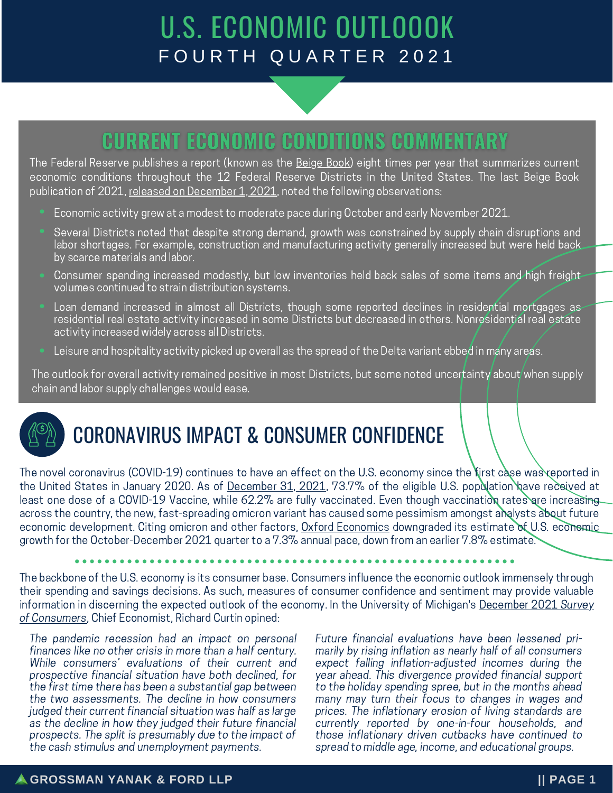# U.S. ECONOMIC OUTLOOOK FOURTH QUARTER 2021

### **CURRENT ECONOMIC CONDITIONS COMMENTARY**

The Federal Reserve publishes a report (known as the [Beige](https://www.federalreserve.gov/monetarypolicy/beige-book-default.htm) Book) eight times per year that summarizes current economic conditions throughout the 12 Federal Reserve Districts in the United States. The last Beige Book publication of 2021, released on [December](https://www.federalreserve.gov/monetarypolicy/beigebook202112.htm)  $1,2021$ , noted the following [observations:](https://www.federalreserve.gov/monetarypolicy/beigebook202112.htm)

- Economic activity grew at a modest to moderate pace during October and early November 2021.
- Several Districts noted that despite strong demand, growth was constrained by supply chain disruptions and labor shortages. For example, construction and manufacturing activity generally increased but were held back by scarce materials and labor.
- Consumer spending increased modestly, but low inventories held back sales of some items and high freight volumes continued to strain distribution systems.
- **·** Loan demand increased in almost all Districts, though some reported declines in residential mortgages as residential real estate activity increased in some Districts but decreased in others. Nonresidential real estate activity increased widely across all Districts.
- Leisure and hospitality activity picked up overall as the spread of the Delta variant ebbed in many areas.

The outlook for overall activity remained positive in most Districts, but some noted uncertainty about when supply chain and labor supply challenges would ease.



## CORONAVIRUS IMPACT & CONSUMER CONFIDENCE

The novel coronavirus (COVID-19) continues to have an effect on the U.S. economy since the first case was reported in the United States in January 2020. As of [December](https://ourworldindata.org/covid-vaccinations?country=USA) 31, 2021, 73.7% of the eligible U.S. population have received at least one dose of a COVID-19 Vaccine, while 62.2% are fully vaccinated. Even though vaccination rates are increasing across the country, the new, fast-spreading omicron variant has caused some pessimism amongst analysts about future economic development. Citing omicron and other factors, Oxford [Economics](https://www.pbs.org/newshour/economy/omicron-casts-shadow-over-economys-pandemic-recovery) downgraded its estimate of U.S. economic growth for the October-December 2021 quarter to a 7.3% annual pace, down from an earlier 7.8% estimate.

The backbone of the U.S. economy is its consumer base. Consumers influence the economic outlook immensely through their spending and savings decisions. As such, measures of consumer confidence and sentiment may provide valuable information in discerning the expected outlook of the economy. In the University of Michigan's [December](https://data.sca.isr.umich.edu/fetchdoc.php?docid=68898) 2021 Survey of [Consumers,](https://data.sca.isr.umich.edu/fetchdoc.php?docid=68898) Chief Economist, Richard Curtin opined:

The pandemic recession had an impact on personal finances like no other crisis in more than a half century. While consumers' evaluations of their current and prospective financial situation have both declined, for the first time there has been a substantial gap between the two assessments. The decline in how consumers judged their current financial situation was half as large as the decline in how they judged their future financial prospects. The split is presumably due to the impact of the cash stimulus and unemployment payments.

Future financial evaluations have been lessened primarily by rising inflation as nearly half of all consumers expect falling inflation-adjusted incomes during the year ahead. This divergence provided financial support to the holiday spending spree, but in the months ahead many may turn their focus to changes in wages and prices. The inflationary erosion of living standards are currently reported by one-in-four households, and those inflationary driven cutbacks have continued to spread to middle age, income, and educational groups.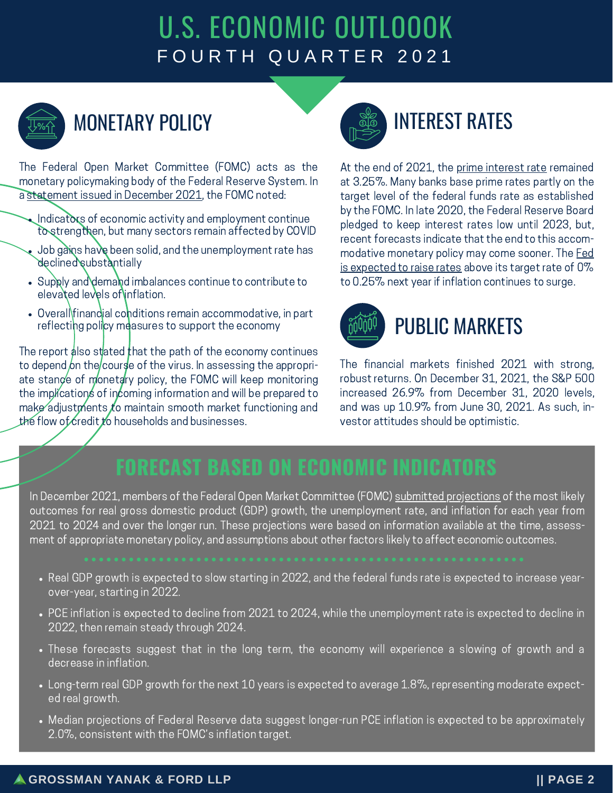# U.S. ECONOMIC OUTLOOOK FOURTH QUARTER 2021



# MONETARY POLICY

The Federal Open Market Committee (FOMC) acts as the monetary policymaking body of the Federal Reserve System. In a [statement](https://www.federalreserve.gov/newsevents/pressreleases/monetary20211215a.htm) issued in December 2021, the FOMC noted:

- Indicators of economic activity and employment continue to strengthen, but many sectors remain affected by COVID
- Job gains have been solid, and the unemployment rate has declined substantially
- Supply and demand imbalances continue to contribute to elevated levels of inflation.
- Overall finandial conditions remain accommodative, in part reflecting policy measures to support the economy

The report also stated that the path of the economy continues to depend on the course of the virus. In assessing the appropriate stance of monetary policy, the FOMC will keep monitoring the implications of incoming information and will be prepared to make adjustments to maintain smooth market functioning and the flow of credit to households and businesses.



# INTEREST RATES

At the end of 2021, the prime [interest](https://www.federalreserve.gov/datadownload/Choose.aspx?rel=H15) rate remained at 3.25%. Many banks base prime rates partly on the target level of the federal funds rate as established by the FOMC. In late 2020, the Federal Reserve Board pledged to keep interest rates low until 2023, but, recent forecasts indicate that the end to this accommodative monetary policy may come sooner. The Fed is [expected](https://www.foxbusiness.com/personal-finance/federal-reserve-raise-interest-rates-inflation) to raise rates above its target rate of 0% to 0.25% next year if inflation continues to surge.



# PUBLIC MARKETS

The financial markets finished 2021 with strong, robust returns. On December 31, 2021, the S&P 500 increased 26.9% from December 31, 2020 levels, and was up 10.9% from June 30, 2021. As such, investor attitudes should be optimistic.

## **FORECAST BASED ON ECONOMIC INDICATORS**

In December 2021, members of the Federal Open Market Committee (FOMC) submitted [projections](https://www.federalreserve.gov/monetarypolicy/fomcprojtabl20211215.htm#:~:text=Summary%20of%20Economic%20Projections%20In%20conjunction%20with%20the,2021%20to%202024%20and%20over%20the%20longer%20run.) of the most likely outcomes for real gross domestic product (GDP) growth, the unemployment rate, and inflation for each year from 2021 to 2024 and over the longer run. These projections were based on information available at the time, assessment of appropriate monetary policy, and assumptions about other factors likely to affect economic outcomes.

- Real GDP growth is expected to slow starting in 2022, and the federal funds rate is expected to increase yearover-year, starting in 2022.
- PCE inflation is expected to decline from 2021 to 2024, while the unemployment rate is expected to decline in 2022, then remain steady through 2024.
- These forecasts suggest that in the long term, the economy will experience a slowing of growth and a decrease in inflation.
- Long-term real GDP growth for the next 10 years is expected to average 1.8%, representing moderate expected real growth.
- Median projections of Federal Reserve data suggest longer-run PCE inflation is expected to be approximately 2.0%, consistent with the FOMC's inflation target.